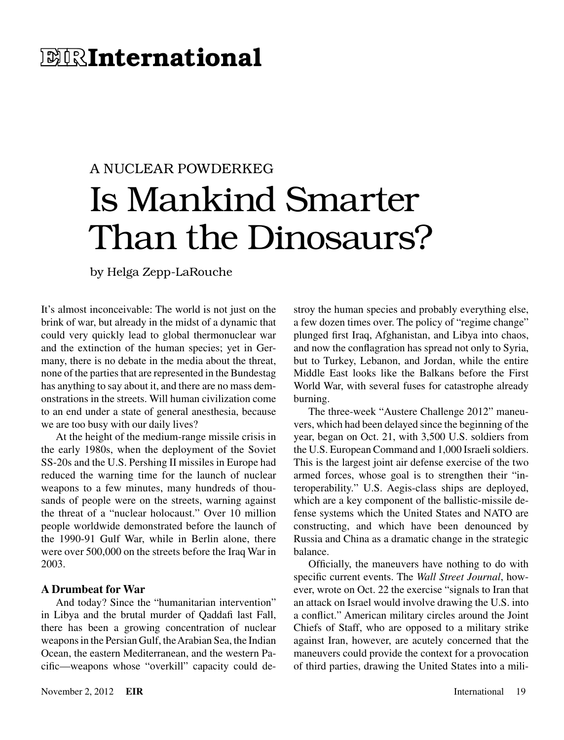## **E IRInternational**

# A NUCLEAR POWDERKEG Is Mankind Smarter Than the Dinosaurs?

by Helga Zepp-LaRouche

It's almost inconceivable: The world is not just on the brink of war, but already in the midst of a dynamic that could very quickly lead to global thermonuclear war and the extinction of the human species; yet in Germany, there is no debate in the media about the threat, none of the parties that are represented in the Bundestag has anything to say about it, and there are no mass demonstrations in the streets. Will human civilization come to an end under a state of general anesthesia, because we are too busy with our daily lives?

At the height of the medium-range missile crisis in the early 1980s, when the deployment of the Soviet SS-20s and the U.S. Pershing II missiles in Europe had reduced the warning time for the launch of nuclear weapons to a few minutes, many hundreds of thousands of people were on the streets, warning against the threat of a "nuclear holocaust." Over 10 million people worldwide demonstrated before the launch of the 1990-91 Gulf War, while in Berlin alone, there were over 500,000 on the streets before the Iraq War in 2003.

#### **A Drumbeat for War**

And today? Since the "humanitarian intervention" in Libya and the brutal murder of Qaddafi last Fall, there has been a growing concentration of nuclear weapons in the Persian Gulf, the Arabian Sea, the Indian Ocean, the eastern Mediterranean, and the western Pacific—weapons whose "overkill" capacity could destroy the human species and probably everything else, a few dozen times over. The policy of "regime change" plunged first Iraq, Afghanistan, and Libya into chaos, and now the conflagration has spread not only to Syria, but to Turkey, Lebanon, and Jordan, while the entire Middle East looks like the Balkans before the First World War, with several fuses for catastrophe already burning.

The three-week "Austere Challenge 2012" maneuvers, which had been delayed since the beginning of the year, began on Oct. 21, with 3,500 U.S. soldiers from the U.S. European Command and 1,000 Israeli soldiers. This is the largest joint air defense exercise of the two armed forces, whose goal is to strengthen their "interoperability." U.S. Aegis-class ships are deployed, which are a key component of the ballistic-missile defense systems which the United States and NATO are constructing, and which have been denounced by Russia and China as a dramatic change in the strategic balance.

Officially, the maneuvers have nothing to do with specific current events. The *Wall Street Journal*, however, wrote on Oct. 22 the exercise "signals to Iran that an attack on Israel would involve drawing the U.S. into a conflict." American military circles around the Joint Chiefs of Staff, who are opposed to a military strike against Iran, however, are acutely concerned that the maneuvers could provide the context for a provocation of third parties, drawing the United States into a mili-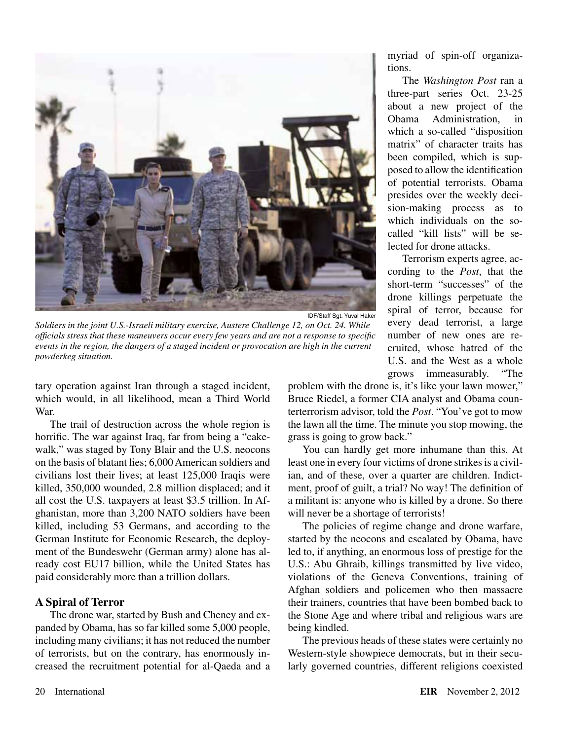

IDF/Staff Sgt. Yuval Haker

*Soldiers in the joint U.S.-Israeli military exercise, Austere Challenge 12, on Oct. 24. While officials stress that these maneuvers occur every few years and are not a response to specific events in the region, the dangers of a staged incident or provocation are high in the current powderkeg situation.*

tary operation against Iran through a staged incident, which would, in all likelihood, mean a Third World War.

The trail of destruction across the whole region is horrific. The war against Iraq, far from being a "cakewalk," was staged by Tony Blair and the U.S. neocons on the basis of blatant lies; 6,000 American soldiers and civilians lost their lives; at least 125,000 Iraqis were killed, 350,000 wounded, 2.8 million displaced; and it all cost the U.S. taxpayers at least \$3.5 trillion. In Afghanistan, more than 3,200 NATO soldiers have been killed, including 53 Germans, and according to the German Institute for Economic Research, the deployment of the Bundeswehr (German army) alone has already cost EU17 billion, while the United States has paid considerably more than a trillion dollars.

#### **A Spiral of Terror**

The drone war, started by Bush and Cheney and expanded by Obama, has so far killed some 5,000 people, including many civilians; it has not reduced the number of terrorists, but on the contrary, has enormously increased the recruitment potential for al-Qaeda and a myriad of spin-off organizations.

The *Washington Post* ran a three-part series Oct. 23-25 about a new project of the Obama Administration, in which a so-called "disposition matrix" of character traits has been compiled, which is supposed to allow the identification of potential terrorists. Obama presides over the weekly decision-making process as to which individuals on the socalled "kill lists" will be selected for drone attacks.

Terrorism experts agree, according to the *Post*, that the short-term "successes" of the drone killings perpetuate the spiral of terror, because for every dead terrorist, a large number of new ones are recruited, whose hatred of the U.S. and the West as a whole grows immeasurably. "The

problem with the drone is, it's like your lawn mower," Bruce Riedel, a former CIA analyst and Obama counterterrorism advisor, told the *Post*. "You've got to mow the lawn all the time. The minute you stop mowing, the grass is going to grow back."

You can hardly get more inhumane than this. At least one in every four victims of drone strikes is a civilian, and of these, over a quarter are children. Indictment, proof of guilt, a trial? No way! The definition of a militant is: anyone who is killed by a drone. So there will never be a shortage of terrorists!

The policies of regime change and drone warfare, started by the neocons and escalated by Obama, have led to, if anything, an enormous loss of prestige for the U.S.: Abu Ghraib, killings transmitted by live video, violations of the Geneva Conventions, training of Afghan soldiers and policemen who then massacre their trainers, countries that have been bombed back to the Stone Age and where tribal and religious wars are being kindled.

The previous heads of these states were certainly no Western-style showpiece democrats, but in their secularly governed countries, different religions coexisted